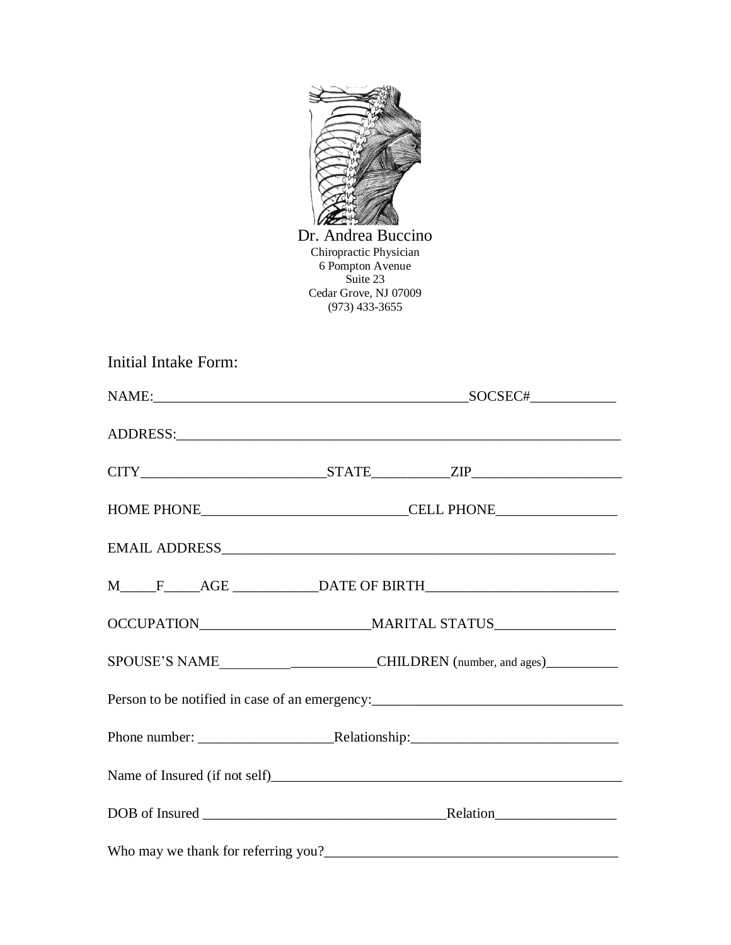

Dr. Andrea Buccino Chiropractic Physician 6 Pompton Avenue Suite 23 Cedar Grove, NJ 07009 (973) 433-3655

| Initial Intake Form: |                                                                                                               |  |
|----------------------|---------------------------------------------------------------------------------------------------------------|--|
|                      |                                                                                                               |  |
|                      |                                                                                                               |  |
|                      | $CITY$ $ZIP$ $ZIP$                                                                                            |  |
|                      |                                                                                                               |  |
|                      |                                                                                                               |  |
|                      |                                                                                                               |  |
|                      |                                                                                                               |  |
|                      |                                                                                                               |  |
|                      | Person to be notified in case of an emergency:<br><u>experience</u> and the notified in case of an emergency: |  |
|                      |                                                                                                               |  |
|                      |                                                                                                               |  |
|                      | DOB of Insured Relation Relation                                                                              |  |
|                      |                                                                                                               |  |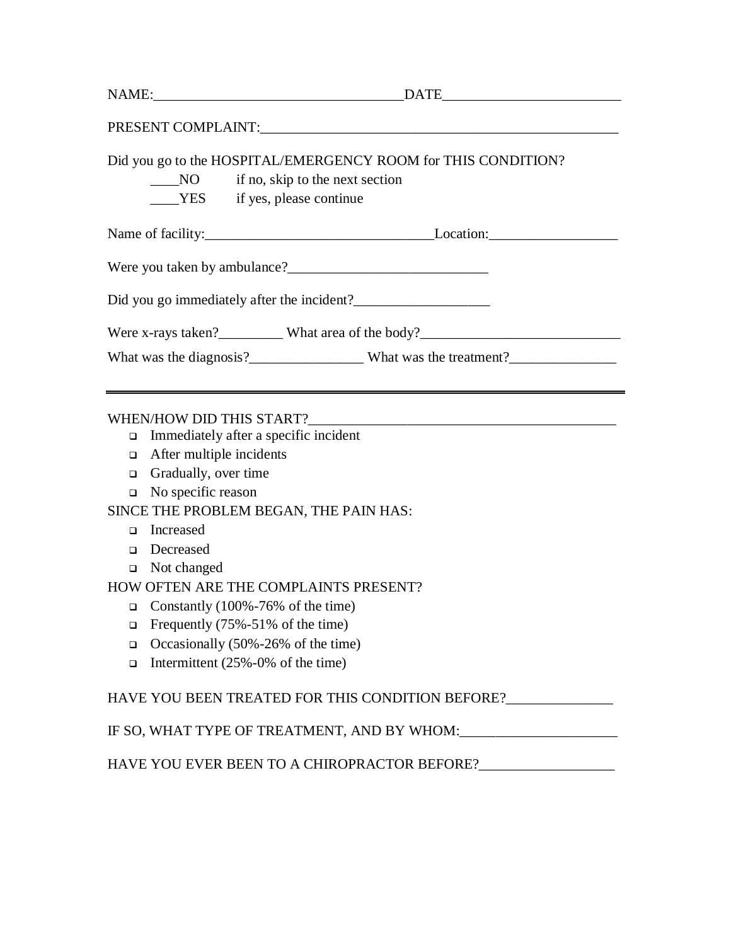|                                | Did you go to the HOSPITAL/EMERGENCY ROOM for THIS CONDITION?                     |
|--------------------------------|-----------------------------------------------------------------------------------|
|                                | $\frac{1}{2}$ NO if no, skip to the next section                                  |
|                                | YES if yes, please continue                                                       |
|                                |                                                                                   |
|                                |                                                                                   |
|                                | Did you go immediately after the incident?                                        |
|                                |                                                                                   |
|                                |                                                                                   |
|                                |                                                                                   |
|                                | What was the diagnosis?____________________What was the treatment?_______________ |
|                                | WHEN/HOW DID THIS START?                                                          |
| $\Box$                         | Immediately after a specific incident                                             |
| $\Box$                         | After multiple incidents                                                          |
| Gradually, over time<br>$\Box$ | <u> 1989 - Johann John Stone, markin fizik eta idazlearia (h. 1982).</u>          |
| $\Box$ No specific reason      |                                                                                   |
|                                | SINCE THE PROBLEM BEGAN, THE PAIN HAS:                                            |
| Increased<br>$\Box$            |                                                                                   |
| Decreased<br>$\Box$            |                                                                                   |
| Not changed<br>$\Box$          |                                                                                   |
|                                | HOW OFTEN ARE THE COMPLAINTS PRESENT?                                             |
| $\Box$                         | Constantly (100%-76% of the time)                                                 |
| $\Box$                         | Frequently (75%-51% of the time)                                                  |
| $\Box$                         | Occasionally (50%-26% of the time)                                                |

HAVE YOU EVER BEEN TO A CHIROPRACTOR BEFORE?\_\_\_\_\_\_\_\_\_\_\_\_\_\_\_\_\_\_\_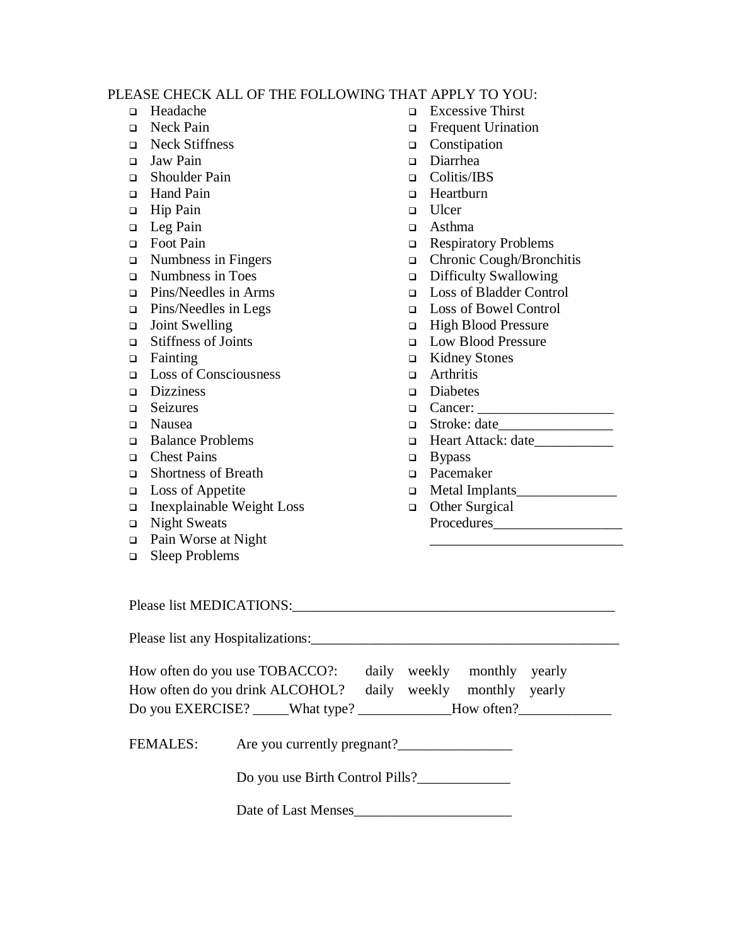## PLEASE CHECK ALL OF THE FOLLOWING THAT APPLY TO YOU:

- ❑ Headache
- ❑ Neck Pain
- ❑ Neck Stiffness
- ❑ Jaw Pain
- ❑ Shoulder Pain
- ❑ Hand Pain
- ❑ Hip Pain
- ❑ Leg Pain
- ❑ Foot Pain
- ❑ Numbness in Fingers
- ❑ Numbness in Toes
- ❑ Pins/Needles in Arms
- ❑ Pins/Needles in Legs
- ❑ Joint Swelling
- ❑ Stiffness of Joints
- ❑ Fainting
- ❑ Loss of Consciousness
- ❑ Dizziness
- ❑ Seizures
- ❑ Nausea
- ❑ Balance Problems
- ❑ Chest Pains
- ❑ Shortness of Breath
- ❑ Loss of Appetite
- ❑ Inexplainable Weight Loss
- ❑ Night Sweats
- ❑ Pain Worse at Night
- ❑ Sleep Problems
- ❑ Excessive Thirst
- ❑ Frequent Urination
- ❑ Constipation
- ❑ Diarrhea
- ❑ Colitis/IBS
- ❑ Heartburn
- ❑ Ulcer
- ❑ Asthma
- ❑ Respiratory Problems
- ❑ Chronic Cough/Bronchitis
- ❑ Difficulty Swallowing
- ❑ Loss of Bladder Control
- ❑ Loss of Bowel Control
- ❑ High Blood Pressure
- ❑ Low Blood Pressure
- ❑ Kidney Stones
- ❑ Arthritis
- ❑ Diabetes
- ❑ Cancer: \_\_\_\_\_\_\_\_\_\_\_\_\_\_\_\_\_\_\_
- $\Box$  Stroke: date
- ❑ Heart Attack: date\_\_\_\_\_\_\_\_\_\_\_
- ❑ Bypass
- ❑ Pacemaker
- ❑ Metal Implants\_\_\_\_\_\_\_\_\_\_\_\_\_\_
- ❑ Other Surgical Procedures\_\_\_\_\_\_\_\_\_\_\_\_\_\_\_\_\_\_

\_\_\_\_\_\_\_\_\_\_\_\_\_\_\_\_\_\_\_\_\_\_\_\_\_\_\_

Please list MEDICATIONS:\_\_\_\_\_\_\_\_\_\_\_\_\_\_\_\_\_\_\_\_\_\_\_\_\_\_\_\_\_\_\_\_\_\_\_\_\_\_\_\_\_\_\_\_\_

Please list any Hospitalizations:

| How often do you use TOBACCO?:                              |  | daily weekly monthly yearly |  |
|-------------------------------------------------------------|--|-----------------------------|--|
| How often do you drink ALCOHOL? daily weekly monthly yearly |  |                             |  |
| Do you EXERCISE? What type?                                 |  | How often?                  |  |

FEMALES: Are you currently pregnant?

Do you use Birth Control Pills?\_\_\_\_\_\_\_\_\_\_\_\_\_

Date of Last Menses\_\_\_\_\_\_\_\_\_\_\_\_\_\_\_\_\_\_\_\_\_\_